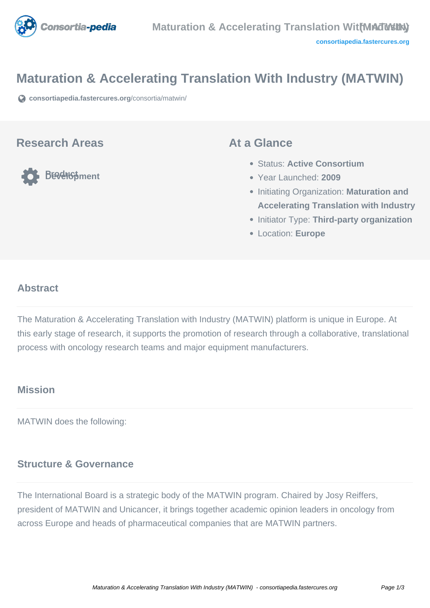

# **Maturation & Accelerating Translation With Industry (MATWIN)**

**[consortiapedia.fastercures.org](https://consortiapedia.fastercures.org/consortia/matwin/)**[/consortia/matwin/](https://consortiapedia.fastercures.org/consortia/matwin/)

#### **Research Areas**

**Product Development**

#### **At a Glance**

- Status: **Active Consortium**
- Year Launched: **2009**
- **Initiating Organization: Maturation and Accelerating Translation with Industry**
- **Initiator Type: Third-party organization**
- Location: **Europe**

#### $\overline{a}$ **Abstract**

The Maturation & Accelerating Translation with Industry (MATWIN) platform is unique in Europe. At this early stage of research, it supports the promotion of research through a collaborative, translational process with oncology research teams and major equipment manufacturers.

# **Mission**

MATWIN does the following:

### **Structure & Governance**

The International Board is a strategic body of the MATWIN program. Chaired by Josy Reiffers, president of MATWIN and Unicancer, it brings together academic opinion leaders in oncology from across Europe and heads of pharmaceutical companies that are MATWIN partners.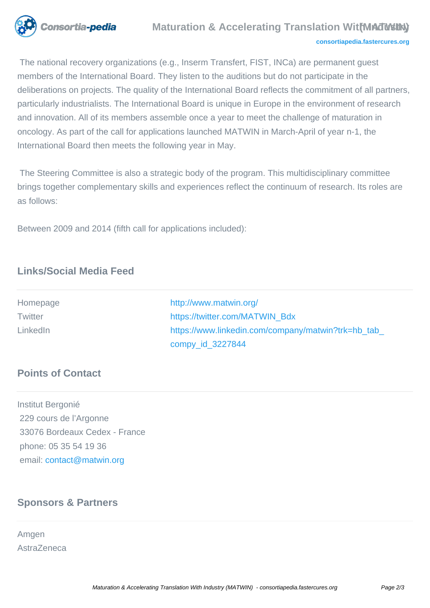

 The national recovery organizations (e.g., Inserm Transfert, FIST, INCa) are permanent guest members of the International Board. They listen to the auditions but do not participate in the deliberations on projects. The quality of the International Board reflects the commitment of all partners, particularly industrialists. The International Board is unique in Europe in the environment of research and innovation. All of its members assemble once a year to meet the challenge of maturation in oncology. As part of the call for applications launched MATWIN in March-April of year n-1, the International Board then meets the following year in May.

 The Steering Committee is also a strategic body of the program. This multidisciplinary committee brings together complementary skills and experiences reflect the continuum of research. Its roles are as follows:

Between 2009 and 2014 (fifth call for applications included):

# **Links/Social Media Feed**

| Homepage | http://www.matwin.org/                             |
|----------|----------------------------------------------------|
| Twitter  | https://twitter.com/MATWIN Bdx                     |
| LinkedIn | https://www.linkedin.com/company/matwin?trk=hb tab |
|          | compy_id_3227844                                   |

### **Points of Contact**

Institut Bergonié 229 cours de l'Argonne 33076 Bordeaux Cedex - France phone: 05 35 54 19 36 email: [contact@matwin.org](mailto:contact@matwin.org)

# **Sponsors & Partners**

Amgen AstraZeneca